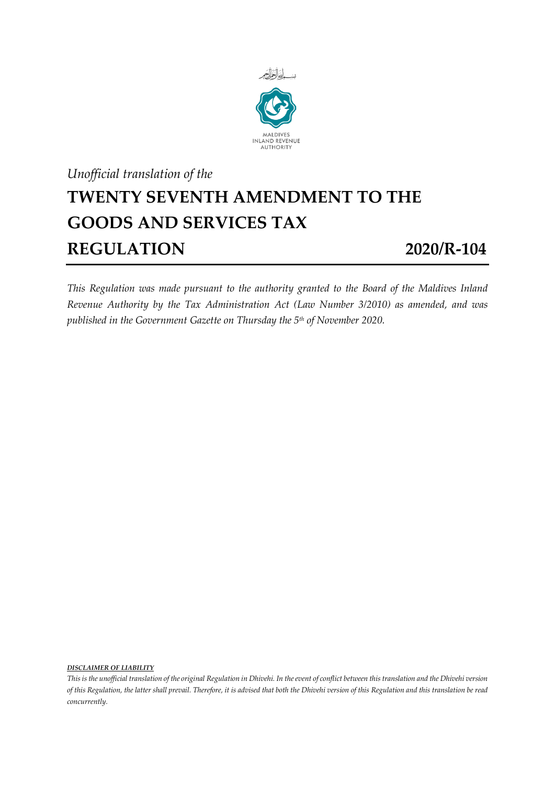

## *Unofficial translation of the* **TWENTY SEVENTH AMENDMENT TO THE GOODS AND SERVICES TAX REGULATION 2020/R-104**

*This Regulation was made pursuant to the authority granted to the Board of the Maldives Inland Revenue Authority by the Tax Administration Act (Law Number 3/2010) as amended, and was published in the Government Gazette on Thursday the 5 th of November 2020.*

*DISCLAIMER OF LIABILITY*

*This is the unofficial translation of the original Regulation in Dhivehi. In the event of conflict between this translation and the Dhivehi version of this Regulation, the latter shall prevail. Therefore, it is advised that both the Dhivehi version of this Regulation and this translation be read concurrently.*